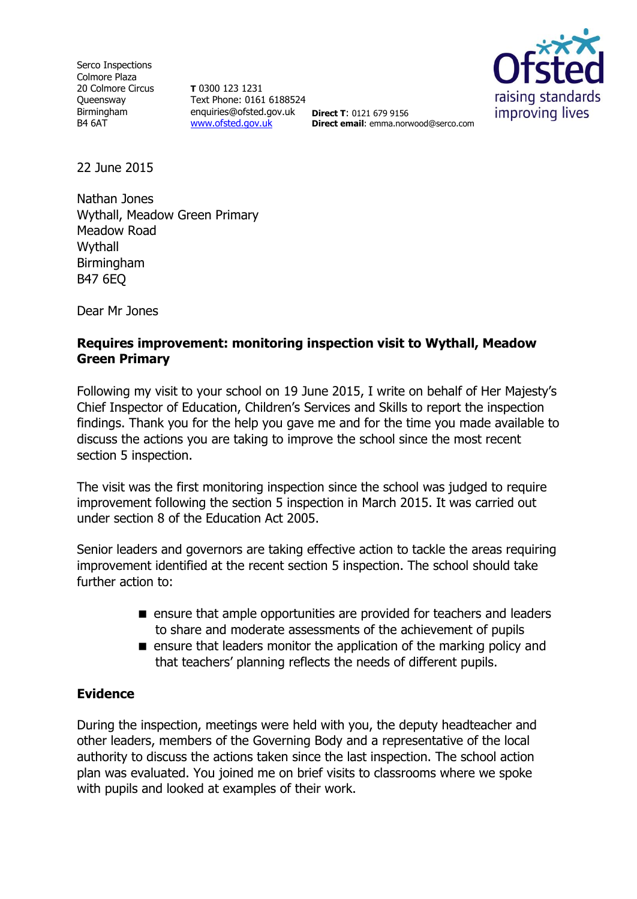Serco Inspections Colmore Plaza 20 Colmore Circus **Oueensway** Birmingham B4 6AT

**T** 0300 123 1231 Text Phone: 0161 6188524 enquiries@ofsted.gov.uk **Direct T**: 0121 679 9156 [www.ofsted.gov.uk](http://www.ofsted.gov.uk/)



**Direct email**: emma.norwood@serco.com

22 June 2015

Nathan Jones Wythall, Meadow Green Primary Meadow Road Wythall Birmingham B47 6EQ

Dear Mr Jones

### **Requires improvement: monitoring inspection visit to Wythall, Meadow Green Primary**

Following my visit to your school on 19 June 2015, I write on behalf of Her Majesty's Chief Inspector of Education, Children's Services and Skills to report the inspection findings. Thank you for the help you gave me and for the time you made available to discuss the actions you are taking to improve the school since the most recent section 5 inspection.

The visit was the first monitoring inspection since the school was judged to require improvement following the section 5 inspection in March 2015. It was carried out under section 8 of the Education Act 2005.

Senior leaders and governors are taking effective action to tackle the areas requiring improvement identified at the recent section 5 inspection. The school should take further action to:

- **E** ensure that ample opportunities are provided for teachers and leaders to share and moderate assessments of the achievement of pupils
- $\blacksquare$  ensure that leaders monitor the application of the marking policy and that teachers' planning reflects the needs of different pupils.

# **Evidence**

During the inspection, meetings were held with you, the deputy headteacher and other leaders, members of the Governing Body and a representative of the local authority to discuss the actions taken since the last inspection. The school action plan was evaluated. You joined me on brief visits to classrooms where we spoke with pupils and looked at examples of their work.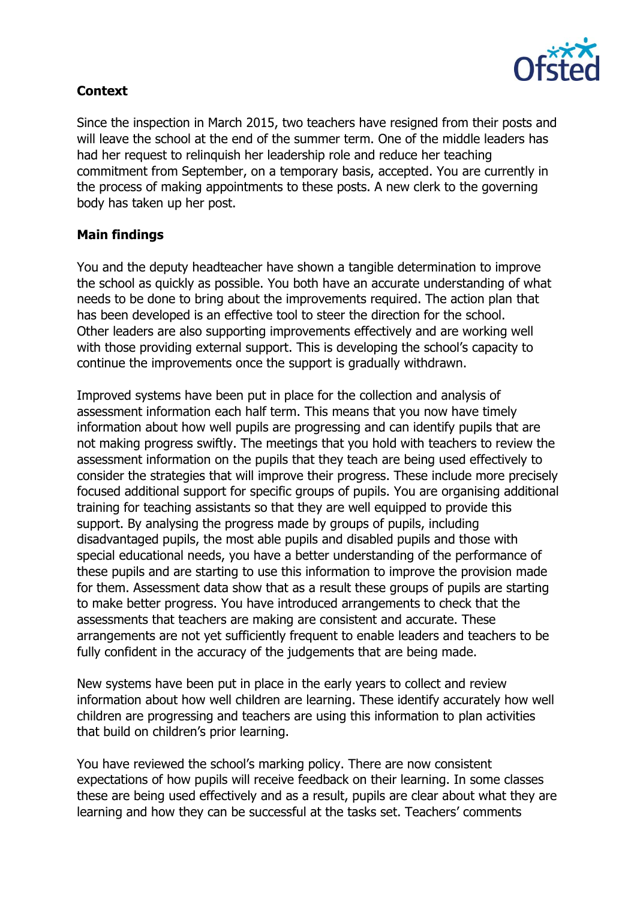

# **Context**

Since the inspection in March 2015, two teachers have resigned from their posts and will leave the school at the end of the summer term. One of the middle leaders has had her request to relinquish her leadership role and reduce her teaching commitment from September, on a temporary basis, accepted. You are currently in the process of making appointments to these posts. A new clerk to the governing body has taken up her post.

# **Main findings**

You and the deputy headteacher have shown a tangible determination to improve the school as quickly as possible. You both have an accurate understanding of what needs to be done to bring about the improvements required. The action plan that has been developed is an effective tool to steer the direction for the school. Other leaders are also supporting improvements effectively and are working well with those providing external support. This is developing the school's capacity to continue the improvements once the support is gradually withdrawn.

Improved systems have been put in place for the collection and analysis of assessment information each half term. This means that you now have timely information about how well pupils are progressing and can identify pupils that are not making progress swiftly. The meetings that you hold with teachers to review the assessment information on the pupils that they teach are being used effectively to consider the strategies that will improve their progress. These include more precisely focused additional support for specific groups of pupils. You are organising additional training for teaching assistants so that they are well equipped to provide this support. By analysing the progress made by groups of pupils, including disadvantaged pupils, the most able pupils and disabled pupils and those with special educational needs, you have a better understanding of the performance of these pupils and are starting to use this information to improve the provision made for them. Assessment data show that as a result these groups of pupils are starting to make better progress. You have introduced arrangements to check that the assessments that teachers are making are consistent and accurate. These arrangements are not yet sufficiently frequent to enable leaders and teachers to be fully confident in the accuracy of the judgements that are being made.

New systems have been put in place in the early years to collect and review information about how well children are learning. These identify accurately how well children are progressing and teachers are using this information to plan activities that build on children's prior learning.

You have reviewed the school's marking policy. There are now consistent expectations of how pupils will receive feedback on their learning. In some classes these are being used effectively and as a result, pupils are clear about what they are learning and how they can be successful at the tasks set. Teachers' comments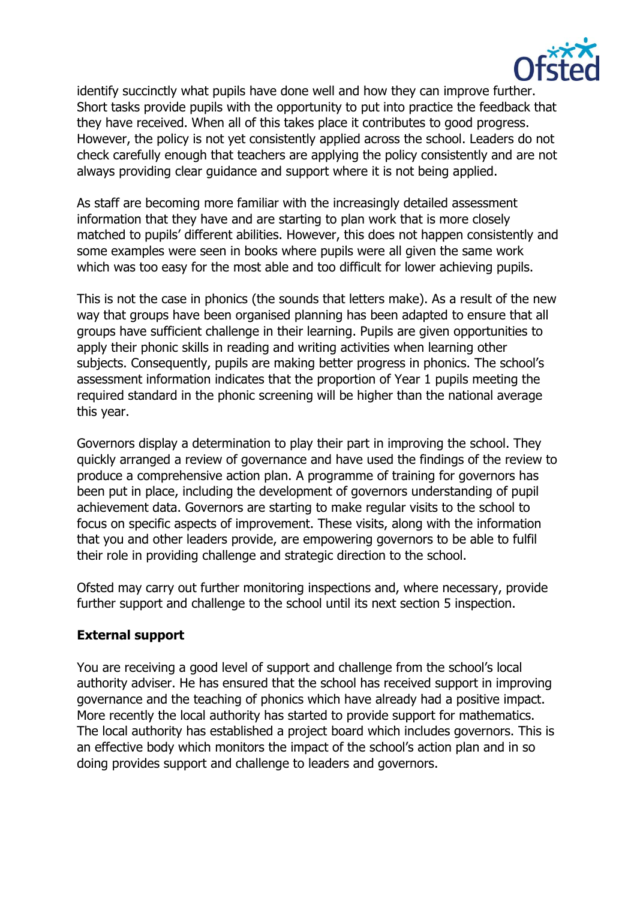

identify succinctly what pupils have done well and how they can improve further. Short tasks provide pupils with the opportunity to put into practice the feedback that they have received. When all of this takes place it contributes to good progress. However, the policy is not yet consistently applied across the school. Leaders do not check carefully enough that teachers are applying the policy consistently and are not always providing clear guidance and support where it is not being applied.

As staff are becoming more familiar with the increasingly detailed assessment information that they have and are starting to plan work that is more closely matched to pupils' different abilities. However, this does not happen consistently and some examples were seen in books where pupils were all given the same work which was too easy for the most able and too difficult for lower achieving pupils.

This is not the case in phonics (the sounds that letters make). As a result of the new way that groups have been organised planning has been adapted to ensure that all groups have sufficient challenge in their learning. Pupils are given opportunities to apply their phonic skills in reading and writing activities when learning other subjects. Consequently, pupils are making better progress in phonics. The school's assessment information indicates that the proportion of Year 1 pupils meeting the required standard in the phonic screening will be higher than the national average this year.

Governors display a determination to play their part in improving the school. They quickly arranged a review of governance and have used the findings of the review to produce a comprehensive action plan. A programme of training for governors has been put in place, including the development of governors understanding of pupil achievement data. Governors are starting to make regular visits to the school to focus on specific aspects of improvement. These visits, along with the information that you and other leaders provide, are empowering governors to be able to fulfil their role in providing challenge and strategic direction to the school.

Ofsted may carry out further monitoring inspections and, where necessary, provide further support and challenge to the school until its next section 5 inspection.

# **External support**

You are receiving a good level of support and challenge from the school's local authority adviser. He has ensured that the school has received support in improving governance and the teaching of phonics which have already had a positive impact. More recently the local authority has started to provide support for mathematics. The local authority has established a project board which includes governors. This is an effective body which monitors the impact of the school's action plan and in so doing provides support and challenge to leaders and governors.